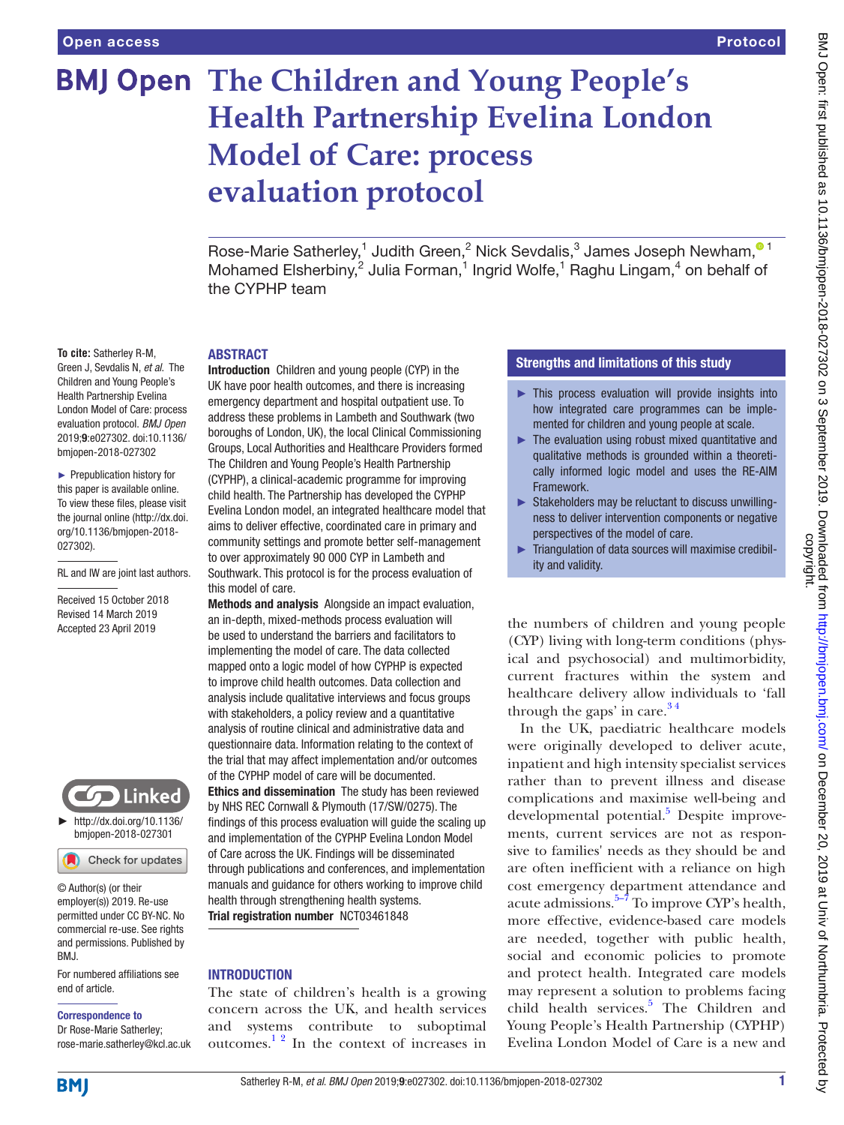# **BMJ Open The Children and Young People's Health Partnership Evelina London Model of Care: process evaluation protocol**

Rose-Marie Satherley,<sup>1</sup> Judith Green,<sup>2</sup> Nick Sevdalis,<sup>3</sup> James Joseph Newham,<sup>® 1</sup> Mohamed Elsherbiny,<sup>2</sup> Julia Forman,<sup>1</sup> Ingrid Wolfe,<sup>1</sup> Raghu Lingam,<sup>4</sup> on behalf of the CYPHP team

## **ABSTRACT**

**To cite:** Satherley R-M, Green J, Sevdalis N, *et al*. The Children and Young People's Health Partnership Evelina London Model of Care: process evaluation protocol. *BMJ Open* 2019;9:e027302. doi:10.1136/ bmjopen-2018-027302

► Prepublication history for this paper is available online. To view these files, please visit the journal online (http://dx.doi. org/10.1136/bmjopen-2018- 027302).

RL and IW are joint last authors.

Received 15 October 2018 Revised 14 March 2019 Accepted 23 April 2019



► [http://dx.doi.org/10.1136/](http://dx.doi.org/10.1136/bmjopen-2018-027301) [bmjopen-2018-027301](http://dx.doi.org/10.1136/bmjopen-2018-027301)



© Author(s) (or their employer(s)) 2019. Re-use permitted under CC BY-NC. No commercial re-use. See rights and permissions. Published by BMJ.

For numbered affiliations see end of article.

#### Correspondence to

Dr Rose-Marie Satherley; rose-marie.satherley@kcl.ac.uk

Introduction Children and young people (CYP) in the UK have poor health outcomes, and there is increasing emergency department and hospital outpatient use. To address these problems in Lambeth and Southwark (two boroughs of London, UK), the local Clinical Commissioning Groups, Local Authorities and Healthcare Providers formed The Children and Young People's Health Partnership (CYPHP), a clinical-academic programme for improving child health. The Partnership has developed the CYPHP Evelina London model, an integrated healthcare model that aims to deliver effective, coordinated care in primary and community settings and promote better self-management to over approximately 90 000 CYP in Lambeth and Southwark. This protocol is for the process evaluation of this model of care.

Methods and analysis Alongside an impact evaluation, an in-depth, mixed-methods process evaluation will be used to understand the barriers and facilitators to implementing the model of care. The data collected mapped onto a logic model of how CYPHP is expected to improve child health outcomes. Data collection and analysis include qualitative interviews and focus groups with stakeholders, a policy review and a quantitative analysis of routine clinical and administrative data and questionnaire data. Information relating to the context of the trial that may affect implementation and/or outcomes of the CYPHP model of care will be documented. Ethics and dissemination The study has been reviewed by NHS REC Cornwall & Plymouth (17/SW/0275). The findings of this process evaluation will guide the scaling up and implementation of the CYPHP Evelina London Model of Care across the UK. Findings will be disseminated through publications and conferences, and implementation manuals and guidance for others working to improve child health through strengthening health systems. Trial registration number <NCT03461848>

## **INTRODUCTION**

The state of children's health is a growing concern across the UK, and health services and systems contribute to suboptimal outcomes.[1 2](#page-6-0) In the context of increases in

## Strengths and limitations of this study

- ► This process evaluation will provide insights into how integrated care programmes can be implemented for children and young people at scale.
- $\blacktriangleright$  The evaluation using robust mixed quantitative and qualitative methods is grounded within a theoretically informed logic model and uses the RE-AIM Framework.
- ► Stakeholders may be reluctant to discuss unwillingness to deliver intervention components or negative perspectives of the model of care.
- ► Triangulation of data sources will maximise credibility and validity.

the numbers of children and young people (CYP) living with long-term conditions (physical and psychosocial) and multimorbidity, current fractures within the system and healthcare delivery allow individuals to 'fall through the gaps' in care. $3<sup>4</sup>$ 

In the UK, paediatric healthcare models were originally developed to deliver acute, inpatient and high intensity specialist services rather than to prevent illness and disease complications and maximise well-being and developmental potential.<sup>[5](#page-6-2)</sup> Despite improvements, current services are not as responsive to families' needs as they should be and are often inefficient with a reliance on high cost emergency department attendance and acute admissions.<sup>5-7</sup> To improve CYP's health, more effective, evidence-based care models are needed, together with public health, social and economic policies to promote and protect health. Integrated care models may represent a solution to problems facing child health services.<sup>5</sup> The Children and Young People's Health Partnership (CYPHP) Evelina London Model of Care is a new and

**BMI**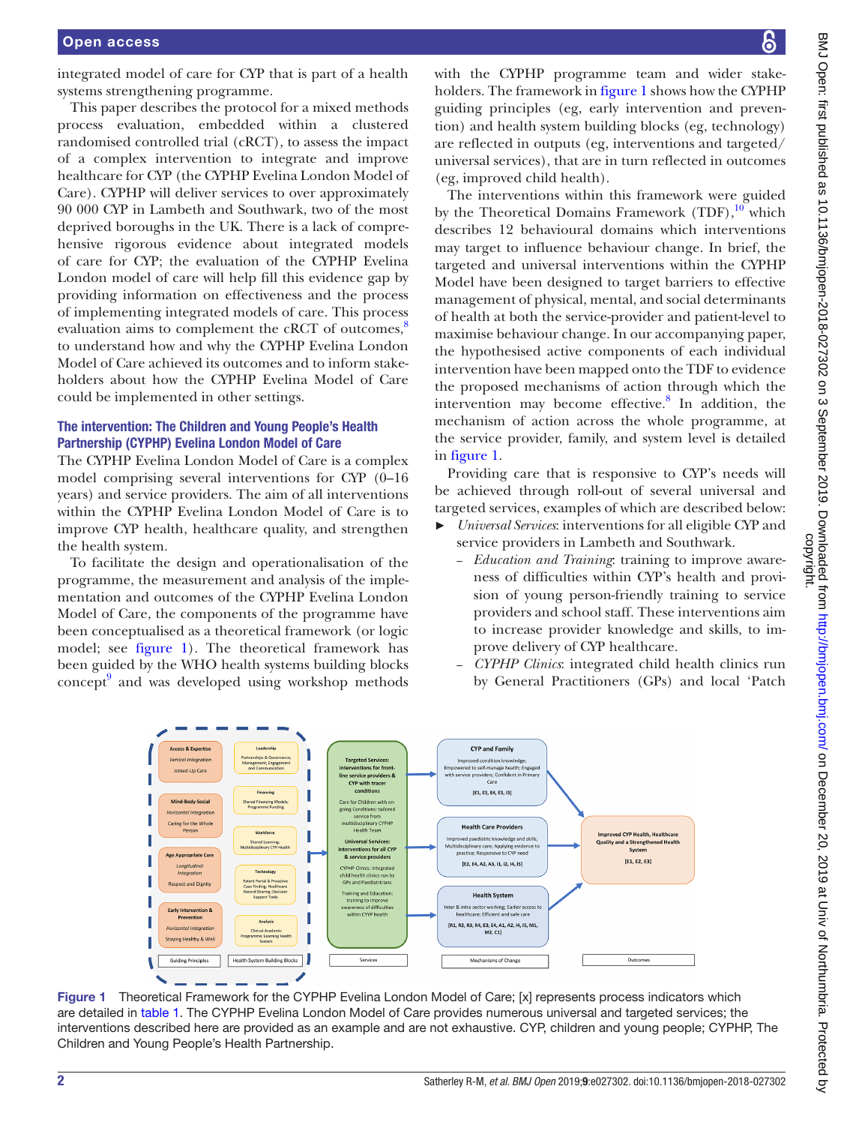integrated model of care for CYP that is part of a health systems strengthening programme.

This paper describes the protocol for a mixed methods process evaluation, embedded within a clustered randomised controlled trial (cRCT), to assess the impact of a complex intervention to integrate and improve healthcare for CYP (the CYPHP Evelina London Model of Care). CYPHP will deliver services to over approximately 90 000 CYP in Lambeth and Southwark, two of the most deprived boroughs in the UK. There is a lack of comprehensive rigorous evidence about integrated models of care for CYP; the evaluation of the CYPHP Evelina London model of care will help fill this evidence gap by providing information on effectiveness and the process of implementing integrated models of care. This process evaluation aims to complement the cRCT of outcomes, $\frac{8}{3}$  $\frac{8}{3}$  $\frac{8}{3}$ to understand how and why the CYPHP Evelina London Model of Care achieved its outcomes and to inform stakeholders about how the CYPHP Evelina Model of Care could be implemented in other settings.

# The intervention: The Children and Young People's Health Partnership (CYPHP) Evelina London Model of Care

The CYPHP Evelina London Model of Care is a complex model comprising several interventions for CYP (0–16 years) and service providers. The aim of all interventions within the CYPHP Evelina London Model of Care is to improve CYP health, healthcare quality, and strengthen the health system.

To facilitate the design and operationalisation of the programme, the measurement and analysis of the implementation and outcomes of the CYPHP Evelina London Model of Care, the components of the programme have been conceptualised as a theoretical framework (or logic model; see [figure](#page-1-0) 1). The theoretical framework has been guided by the WHO health systems building blocks concept<sup>[9](#page-6-4)</sup> and was developed using workshop methods with the CYPHP programme team and wider stakeholders. The framework in [figure](#page-1-0) 1 shows how the CYPHP guiding principles (eg, early intervention and prevention) and health system building blocks (eg, technology) are reflected in outputs (eg, interventions and targeted/ universal services), that are in turn reflected in outcomes (eg, improved child health).

The interventions within this framework were guided by the Theoretical Domains Framework  $(TDF)$ ,<sup>10</sup> which describes 12 behavioural domains which interventions may target to influence behaviour change. In brief, the targeted and universal interventions within the CYPHP Model have been designed to target barriers to effective management of physical, mental, and social determinants of health at both the service-provider and patient-level to maximise behaviour change. In our accompanying paper, the hypothesised active components of each individual intervention have been mapped onto the TDF to evidence the proposed mechanisms of action through which the intervention may become effective.<sup>[8](#page-6-3)</sup> In addition, the mechanism of action across the whole programme, at the service provider, family, and system level is detailed in [figure](#page-1-0) 1.

Providing care that is responsive to CYP's needs will be achieved through roll-out of several universal and targeted services, examples of which are described below:

- ► *Universal Services*: interventions for all eligible CYP and service providers in Lambeth and Southwark.
	- *Education and Training*: training to improve awareness of difficulties within CYP's health and provision of young person-friendly training to service providers and school staff. These interventions aim to increase provider knowledge and skills, to improve delivery of CYP healthcare.
	- *CYPHP Clinics*: integrated child health clinics run by General Practitioners (GPs) and local 'Patch



<span id="page-1-0"></span>Figure 1 Theoretical Framework for the CYPHP Evelina London Model of Care; [x] represents process indicators which are detailed in [table 1.](#page-4-0) The CYPHP Evelina London Model of Care provides numerous universal and targeted services; the interventions described here are provided as an example and are not exhaustive. CYP, children and young people; CYPHP, The Children and Young People's Health Partnership.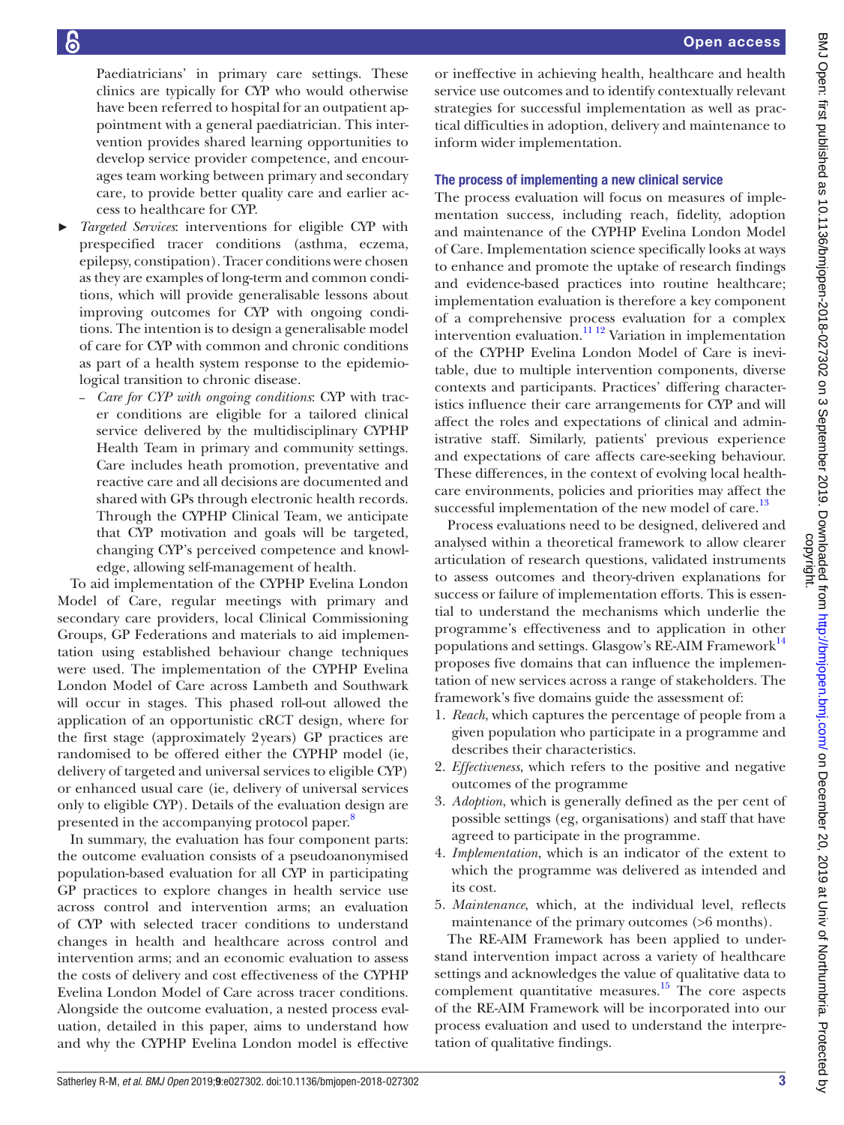Paediatricians' in primary care settings. These clinics are typically for CYP who would otherwise have been referred to hospital for an outpatient appointment with a general paediatrician. This intervention provides shared learning opportunities to develop service provider competence, and encourages team working between primary and secondary care, to provide better quality care and earlier access to healthcare for CYP.

- ► *Targeted Services*: interventions for eligible CYP with prespecified tracer conditions (asthma, eczema, epilepsy, constipation). Tracer conditions were chosen as they are examples of long-term and common conditions, which will provide generalisable lessons about improving outcomes for CYP with ongoing conditions. The intention is to design a generalisable model of care for CYP with common and chronic conditions as part of a health system response to the epidemiological transition to chronic disease.
	- *Care for CYP with ongoing conditions*: CYP with tracer conditions are eligible for a tailored clinical service delivered by the multidisciplinary CYPHP Health Team in primary and community settings. Care includes heath promotion, preventative and reactive care and all decisions are documented and shared with GPs through electronic health records. Through the CYPHP Clinical Team, we anticipate that CYP motivation and goals will be targeted, changing CYP's perceived competence and knowledge, allowing self-management of health.

To aid implementation of the CYPHP Evelina London Model of Care, regular meetings with primary and secondary care providers, local Clinical Commissioning Groups, GP Federations and materials to aid implementation using established behaviour change techniques were used. The implementation of the CYPHP Evelina London Model of Care across Lambeth and Southwark will occur in stages. This phased roll-out allowed the application of an opportunistic cRCT design, where for the first stage (approximately 2years) GP practices are randomised to be offered either the CYPHP model (ie, delivery of targeted and universal services to eligible CYP) or enhanced usual care (ie, delivery of universal services only to eligible CYP). Details of the evaluation design are presented in the accompanying protocol paper.<sup>8</sup>

In summary, the evaluation has four component parts: the outcome evaluation consists of a pseudoanonymised population-based evaluation for all CYP in participating GP practices to explore changes in health service use across control and intervention arms; an evaluation of CYP with selected tracer conditions to understand changes in health and healthcare across control and intervention arms; and an economic evaluation to assess the costs of delivery and cost effectiveness of the CYPHP Evelina London Model of Care across tracer conditions. Alongside the outcome evaluation, a nested process evaluation, detailed in this paper, aims to understand how and why the CYPHP Evelina London model is effective

or ineffective in achieving health, healthcare and health service use outcomes and to identify contextually relevant strategies for successful implementation as well as practical difficulties in adoption, delivery and maintenance to inform wider implementation.

# The process of implementing a new clinical service

The process evaluation will focus on measures of implementation success, including reach, fidelity, adoption and maintenance of the CYPHP Evelina London Model of Care. Implementation science specifically looks at ways to enhance and promote the uptake of research findings and evidence-based practices into routine healthcare; implementation evaluation is therefore a key component of a comprehensive process evaluation for a complex intervention evaluation. $1112$  Variation in implementation of the CYPHP Evelina London Model of Care is inevitable, due to multiple intervention components, diverse contexts and participants. Practices' differing characteristics influence their care arrangements for CYP and will affect the roles and expectations of clinical and administrative staff. Similarly, patients' previous experience and expectations of care affects care-seeking behaviour. These differences, in the context of evolving local healthcare environments, policies and priorities may affect the successful implementation of the new model of care.<sup>[13](#page-6-7)</sup>

Process evaluations need to be designed, delivered and analysed within a theoretical framework to allow clearer articulation of research questions, validated instruments to assess outcomes and theory-driven explanations for success or failure of implementation efforts. This is essential to understand the mechanisms which underlie the programme's effectiveness and to application in other populations and settings. Glasgow's RE-AIM Framework<sup>[14](#page-6-8)</sup> proposes five domains that can influence the implementation of new services across a range of stakeholders. The framework's five domains guide the assessment of:

- 1. *Reach*, which captures the percentage of people from a given population who participate in a programme and describes their characteristics.
- 2. *Effectiveness*, which refers to the positive and negative outcomes of the programme
- 3. *Adoption*, which is generally defined as the per cent of possible settings (eg, organisations) and staff that have agreed to participate in the programme.
- 4. *Implementation*, which is an indicator of the extent to which the programme was delivered as intended and its cost.
- 5. *Maintenance*, which, at the individual level, reflects maintenance of the primary outcomes (>6 months).

The RE-AIM Framework has been applied to understand intervention impact across a variety of healthcare settings and acknowledges the value of qualitative data to complement quantitative measures. $15$  The core aspects of the RE-AIM Framework will be incorporated into our process evaluation and used to understand the interpretation of qualitative findings.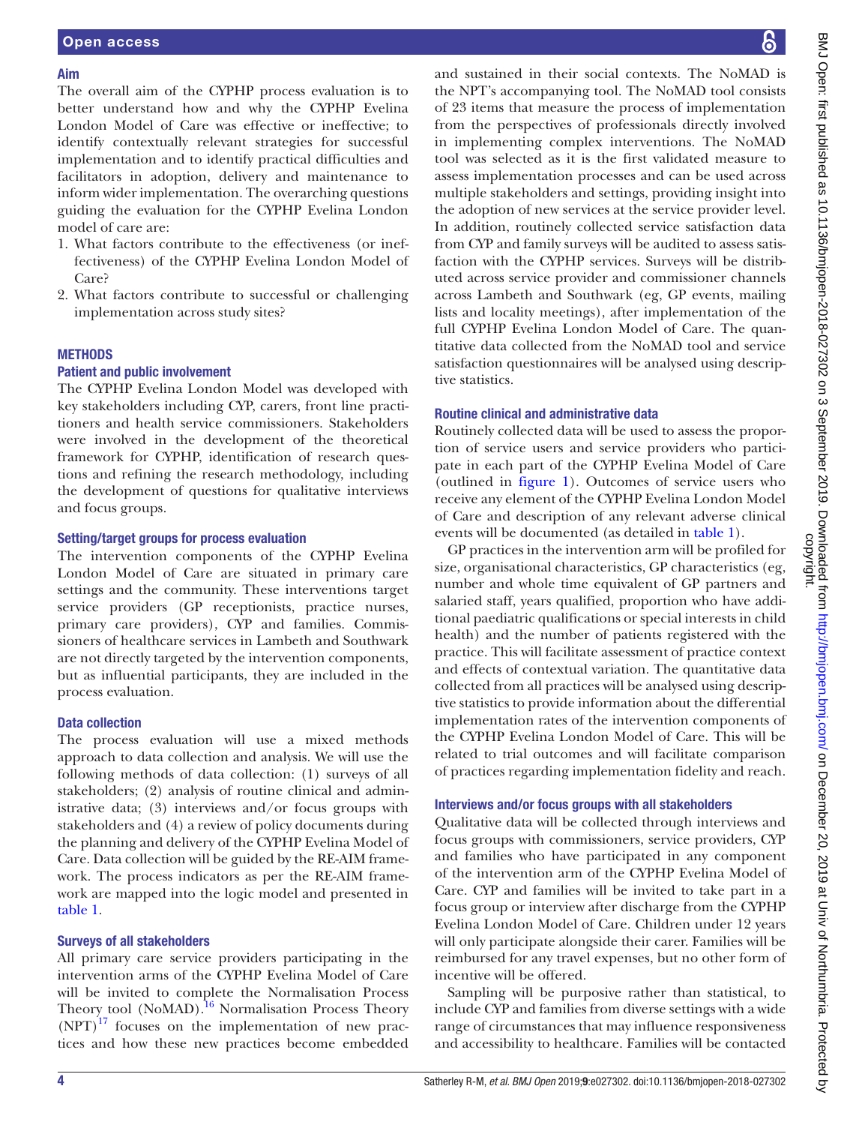## Aim

The overall aim of the CYPHP process evaluation is to better understand how and why the CYPHP Evelina London Model of Care was effective or ineffective; to identify contextually relevant strategies for successful implementation and to identify practical difficulties and facilitators in adoption, delivery and maintenance to inform wider implementation. The overarching questions guiding the evaluation for the CYPHP Evelina London model of care are:

- 1. What factors contribute to the effectiveness (or ineffectiveness) of the CYPHP Evelina London Model of Care?
- 2. What factors contribute to successful or challenging implementation across study sites?

#### **METHODS**

#### Patient and public involvement

The CYPHP Evelina London Model was developed with key stakeholders including CYP, carers, front line practitioners and health service commissioners. Stakeholders were involved in the development of the theoretical framework for CYPHP, identification of research questions and refining the research methodology, including the development of questions for qualitative interviews and focus groups.

#### Setting/target groups for process evaluation

The intervention components of the CYPHP Evelina London Model of Care are situated in primary care settings and the community. These interventions target service providers (GP receptionists, practice nurses, primary care providers), CYP and families. Commissioners of healthcare services in Lambeth and Southwark are not directly targeted by the intervention components, but as influential participants, they are included in the process evaluation.

#### Data collection

The process evaluation will use a mixed methods approach to data collection and analysis. We will use the following methods of data collection: (1) surveys of all stakeholders; (2) analysis of routine clinical and administrative data; (3) interviews and/or focus groups with stakeholders and (4) a review of policy documents during the planning and delivery of the CYPHP Evelina Model of Care. Data collection will be guided by the RE-AIM framework. The process indicators as per the RE-AIM framework are mapped into the logic model and presented in [table](#page-4-0) 1.

#### Surveys of all stakeholders

All primary care service providers participating in the intervention arms of the CYPHP Evelina Model of Care will be invited to complete the Normalisation Process Theory tool  $(NoMAD)$ <sup>16</sup> Normalisation Process Theory  $(NPT)^{17}$  focuses on the implementation of new practices and how these new practices become embedded

and sustained in their social contexts. The NoMAD is the NPT's accompanying tool. The NoMAD tool consists of 23 items that measure the process of implementation from the perspectives of professionals directly involved in implementing complex interventions. The NoMAD tool was selected as it is the first validated measure to assess implementation processes and can be used across multiple stakeholders and settings, providing insight into the adoption of new services at the service provider level. In addition, routinely collected service satisfaction data from CYP and family surveys will be audited to assess satisfaction with the CYPHP services. Surveys will be distributed across service provider and commissioner channels across Lambeth and Southwark (eg, GP events, mailing lists and locality meetings), after implementation of the full CYPHP Evelina London Model of Care. The quantitative data collected from the NoMAD tool and service satisfaction questionnaires will be analysed using descriptive statistics.

## Routine clinical and administrative data

Routinely collected data will be used to assess the proportion of service users and service providers who participate in each part of the CYPHP Evelina Model of Care (outlined in [figure](#page-1-0) 1). Outcomes of service users who receive any element of the CYPHP Evelina London Model of Care and description of any relevant adverse clinical events will be documented (as detailed in [table](#page-4-0) 1).

GP practices in the intervention arm will be profiled for size, organisational characteristics, GP characteristics (eg, number and whole time equivalent of GP partners and salaried staff, years qualified, proportion who have additional paediatric qualifications or special interests in child health) and the number of patients registered with the practice. This will facilitate assessment of practice context and effects of contextual variation. The quantitative data collected from all practices will be analysed using descriptive statistics to provide information about the differential implementation rates of the intervention components of the CYPHP Evelina London Model of Care. This will be related to trial outcomes and will facilitate comparison of practices regarding implementation fidelity and reach.

#### Interviews and/or focus groups with all stakeholders

Qualitative data will be collected through interviews and focus groups with commissioners, service providers, CYP and families who have participated in any component of the intervention arm of the CYPHP Evelina Model of Care. CYP and families will be invited to take part in a focus group or interview after discharge from the CYPHP Evelina London Model of Care. Children under 12 years will only participate alongside their carer. Families will be reimbursed for any travel expenses, but no other form of incentive will be offered.

Sampling will be purposive rather than statistical, to include CYP and families from diverse settings with a wide range of circumstances that may influence responsiveness and accessibility to healthcare. Families will be contacted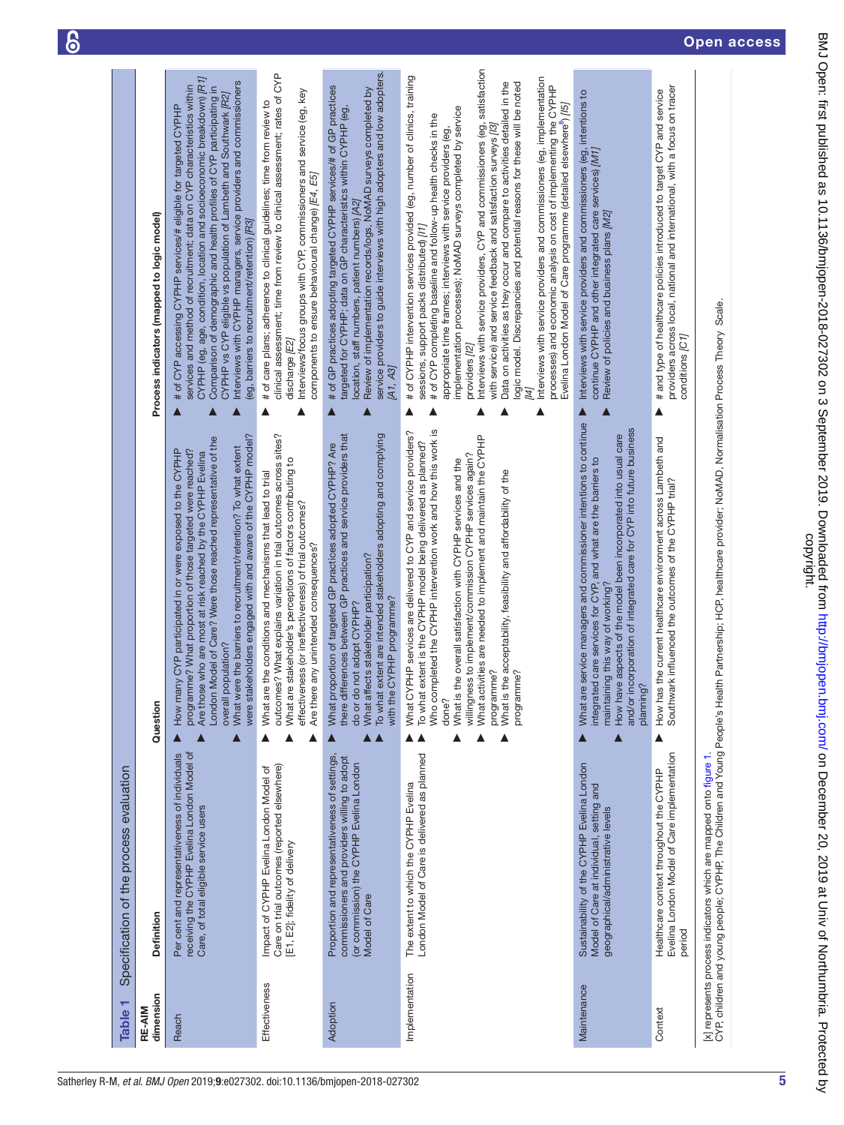<span id="page-4-0"></span>

| <b>Table</b>        | Specification of the process evaluation                                                                                                                     |                                                                                                                                                                                                                                                                                                                                                                                                                                                                                                                             |                                                                                                                                                                                                                                                                                                                                                                                                                                                                                                                                                                                                                                                                                                                                                                                                                                                                                                                |
|---------------------|-------------------------------------------------------------------------------------------------------------------------------------------------------------|-----------------------------------------------------------------------------------------------------------------------------------------------------------------------------------------------------------------------------------------------------------------------------------------------------------------------------------------------------------------------------------------------------------------------------------------------------------------------------------------------------------------------------|----------------------------------------------------------------------------------------------------------------------------------------------------------------------------------------------------------------------------------------------------------------------------------------------------------------------------------------------------------------------------------------------------------------------------------------------------------------------------------------------------------------------------------------------------------------------------------------------------------------------------------------------------------------------------------------------------------------------------------------------------------------------------------------------------------------------------------------------------------------------------------------------------------------|
| dimension<br>RE-AIM | Definition                                                                                                                                                  | Question                                                                                                                                                                                                                                                                                                                                                                                                                                                                                                                    | Process indicators (mapped to logic model)                                                                                                                                                                                                                                                                                                                                                                                                                                                                                                                                                                                                                                                                                                                                                                                                                                                                     |
| Reach               | Per cent and representativeness of individuals<br>receiving the CYPHP Evelina London Model of<br>Care, of total eligible service users                      | were stakeholders engaged with and aware of the CYPHP model?<br>London Model of Care? Were those reached representative of the<br>were the barriers to recruitment/retention? To what extent<br>How many CYP participated in or were exposed to the CYPHP<br>programme? What proportion of those targeted were reached?<br>Are those who are most at risk reached by the CYPHP Evelina<br>I population?<br>overal<br>What                                                                                                   | CYPHP (eg, age, condition, location and socioeconomic breakdown) [R1]<br>Interviews with CYPHP managers, service providers and commissioners<br>Comparison of demographic and health profiles of CYP participating in<br>services and method of recruitment; data on CYP characteristics within<br>CYPHP vs CYP eligible vs population of Lambeth and Southwark [R2]<br># of CYP accessing CYPHP services/# eligible for targeted CYPHP<br>(eg, barriers to recruitment/retention) [R3]<br>Δ<br>Λ<br>Δ                                                                                                                                                                                                                                                                                                                                                                                                         |
| Effectiveness       | Care on trial outcomes (reported elsewhere)<br>Impact of CYPHP Evelina London Model of<br>[E1, E2]; fidelity of delivery                                    | outcomes? What explains variation in trial outcomes across sites?<br>are stakeholder's perceptions of factors contributing to<br>are the conditions and mechanisms that lead to trial<br>effectiveness (or ineffectiveness) of trial outcomes?<br>Are there any unintended consequences?<br>What a<br>What a                                                                                                                                                                                                                | clinical assessment; time from review to clinical assessment; rates of CYP<br>Interviews/focus groups with CYP, commissioners and service (eg, key<br># of care plans; adherence to clinical guidelines; time from review to<br>components to ensure behavioural change) [E4, E5]<br>discharge [E2]<br>▲                                                                                                                                                                                                                                                                                                                                                                                                                                                                                                                                                                                                       |
| Adoption            | Proportion and representativeness of settings,<br>commissioners and providers willing to adopt<br>(or commission) the CYPHP Evelina London<br>Model of Care | there differences between GP practices and service providers that<br>To what extent are intended stakeholders adopting and complying<br>proportion of targeted GP practices adopted CYPHP? Are<br>affects stakeholder participation?<br>with the CYPHP programme?<br>do not adopt CYPHP?<br>do or<br>What<br>What a                                                                                                                                                                                                         | service providers to guide interviews with high adopters and low adopters.<br># of GP practices adopting targeted CYPHP services/# of GP practices<br>Review of implementation records/logs, NoMAD surveys completed by<br>targeted for CYPHP; data on GP characteristics within CYPHP (eg,<br>location, staff numbers, patient numbers) [A2]<br>[A1, A3]<br>Л<br>Δ                                                                                                                                                                                                                                                                                                                                                                                                                                                                                                                                            |
| Implementation      | London Model of Care is delivered as planned<br>The extent to which the CYPHP Evelina                                                                       | Who completed the CYPHP intervention work and how this work is<br>CYPHP services are delivered to CYP and service providers?<br>activities are needed to implement and maintain the CYPHP<br>To what extent is the CYPHP model being delivered as planned?<br>willingness to implement/commission CYPHP services again?<br>is the overall satisfaction with CYPHP services and the<br>is the acceptability, feasibility and affordability of the<br>programme?<br>programme?<br>done?<br>What i<br>What a<br>What<br>What i | Interviews with service providers, CYP and commissioners (eg, satisfaction<br># of CYPHP intervention services provided (eg, number of clinics, training<br>Interviews with service providers and commissioners (eg, implementation<br>Data on activities as they occur and compare to activities detailed in the<br>logic model. Discrepancies and potential reasons for these will be noted<br>processes) and economic analysis on cost of implementing the CYPHP<br>Evelina London Model of Care programme (detailed elsewhere <sup>s</sup> ) [/5]<br>implementation processes); NoMAD surveys completed by service<br># of CYP completing baseline and follow-up health checks in the<br>with service) and service feedback and satisfaction surveys [13]<br>appropriate time frames; interviews with service providers (eg,<br>sessions, support packs distributed) [11]<br>providers [12]<br>▲<br>▲<br>▲ |
| Maintenance         | Sustainability of the CYPHP Evelina London<br>Model of Care at individual, setting and<br>geographical/administrative levels                                | are service managers and commissioner intentions to continue<br>and/or incorporation of integrated care for CYP into future business<br>How have aspects of the model been incorporated into usual care<br>integrated care services for CYP, and what are the barriers to<br>maintaining this way of working?<br>planning?<br>What                                                                                                                                                                                          | Interviews with service providers and commissioners (eg, intentions to<br>continue CYPHP and other integrated care services) [M1]<br>Review of policies and business plans [M2]<br>$\blacktriangle$                                                                                                                                                                                                                                                                                                                                                                                                                                                                                                                                                                                                                                                                                                            |
| Context             | Evelina London Model of Care implementation<br>Healthcare context throughout the CYPHP<br>period                                                            | How has the current healthcare environment across Lambeth and<br>Southwark influenced the outcomes of the CYPHP trial?                                                                                                                                                                                                                                                                                                                                                                                                      | providers across local, national and international, with a focus on tracer<br># and type of healthcare policies introduced to target CYP and service<br>conditions [C1]                                                                                                                                                                                                                                                                                                                                                                                                                                                                                                                                                                                                                                                                                                                                        |
|                     |                                                                                                                                                             | X  represents process indicators which are mapped onto figure 1.<br>CYP, children and young people; CYPHP, The Children and Young People's Health Partnership; HCP, healthcare provider; NoMAD, Normalisation Process Theory Sca                                                                                                                                                                                                                                                                                            |                                                                                                                                                                                                                                                                                                                                                                                                                                                                                                                                                                                                                                                                                                                                                                                                                                                                                                                |

 $\delta$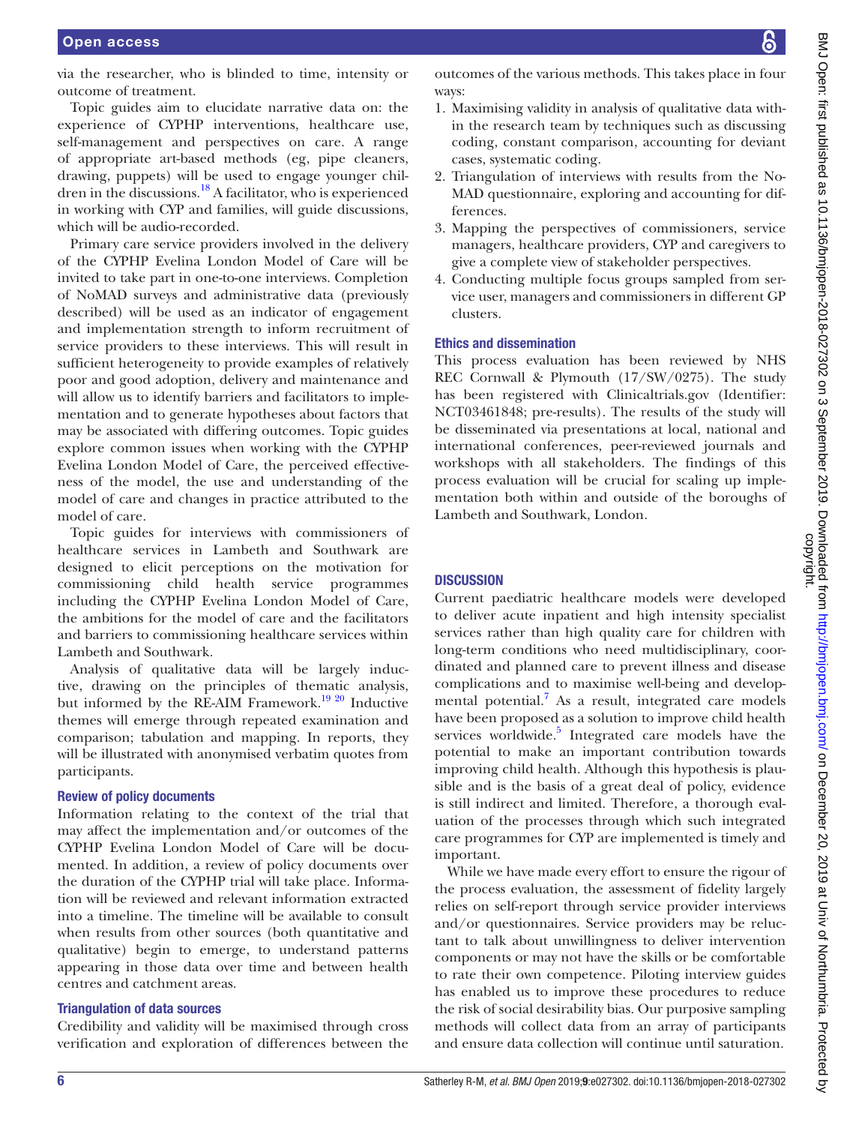via the researcher, who is blinded to time, intensity or outcome of treatment.

Topic guides aim to elucidate narrative data on: the experience of CYPHP interventions, healthcare use, self-management and perspectives on care. A range of appropriate art-based methods (eg, pipe cleaners, drawing, puppets) will be used to engage younger children in the discussions[.18](#page-6-12) A facilitator, who is experienced in working with CYP and families, will guide discussions, which will be audio-recorded.

Primary care service providers involved in the delivery of the CYPHP Evelina London Model of Care will be invited to take part in one-to-one interviews. Completion of NoMAD surveys and administrative data (previously described) will be used as an indicator of engagement and implementation strength to inform recruitment of service providers to these interviews. This will result in sufficient heterogeneity to provide examples of relatively poor and good adoption, delivery and maintenance and will allow us to identify barriers and facilitators to implementation and to generate hypotheses about factors that may be associated with differing outcomes. Topic guides explore common issues when working with the CYPHP Evelina London Model of Care, the perceived effectiveness of the model, the use and understanding of the model of care and changes in practice attributed to the model of care.

Topic guides for interviews with commissioners of healthcare services in Lambeth and Southwark are designed to elicit perceptions on the motivation for commissioning child health service programmes including the CYPHP Evelina London Model of Care, the ambitions for the model of care and the facilitators and barriers to commissioning healthcare services within Lambeth and Southwark.

Analysis of qualitative data will be largely inductive, drawing on the principles of thematic analysis, but informed by the RE-AIM Framework.<sup>[19 20](#page-6-13)</sup> Inductive themes will emerge through repeated examination and comparison; tabulation and mapping. In reports, they will be illustrated with anonymised verbatim quotes from participants.

## Review of policy documents

Information relating to the context of the trial that may affect the implementation and/or outcomes of the CYPHP Evelina London Model of Care will be documented. In addition, a review of policy documents over the duration of the CYPHP trial will take place. Information will be reviewed and relevant information extracted into a timeline. The timeline will be available to consult when results from other sources (both quantitative and qualitative) begin to emerge, to understand patterns appearing in those data over time and between health centres and catchment areas.

## Triangulation of data sources

Credibility and validity will be maximised through cross verification and exploration of differences between the

outcomes of the various methods. This takes place in four ways:

- 1. Maximising validity in analysis of qualitative data within the research team by techniques such as discussing coding, constant comparison, accounting for deviant cases, systematic coding.
- 2. Triangulation of interviews with results from the No-MAD questionnaire, exploring and accounting for differences.
- 3. Mapping the perspectives of commissioners, service managers, healthcare providers, CYP and caregivers to give a complete view of stakeholder perspectives.
- 4. Conducting multiple focus groups sampled from service user, managers and commissioners in different GP clusters.

# Ethics and dissemination

This process evaluation has been reviewed by NHS REC Cornwall & Plymouth (17/SW/0275). The study has been registered with Clinicaltrials.gov (Identifier: NCT03461848; pre-results). The results of the study will be disseminated via presentations at local, national and international conferences, peer-reviewed journals and workshops with all stakeholders. The findings of this process evaluation will be crucial for scaling up implementation both within and outside of the boroughs of Lambeth and Southwark, London.

# **DISCUSSION**

Current paediatric healthcare models were developed to deliver acute inpatient and high intensity specialist services rather than high quality care for children with long-term conditions who need multidisciplinary, coordinated and planned care to prevent illness and disease complications and to maximise well-being and developmental potential.<sup>7</sup> As a result, integrated care models have been proposed as a solution to improve child health services worldwide.<sup>[5](#page-6-2)</sup> Integrated care models have the potential to make an important contribution towards improving child health. Although this hypothesis is plausible and is the basis of a great deal of policy, evidence is still indirect and limited. Therefore, a thorough evaluation of the processes through which such integrated care programmes for CYP are implemented is timely and important.

While we have made every effort to ensure the rigour of the process evaluation, the assessment of fidelity largely relies on self-report through service provider interviews and/or questionnaires. Service providers may be reluctant to talk about unwillingness to deliver intervention components or may not have the skills or be comfortable to rate their own competence. Piloting interview guides has enabled us to improve these procedures to reduce the risk of social desirability bias. Our purposive sampling methods will collect data from an array of participants and ensure data collection will continue until saturation.